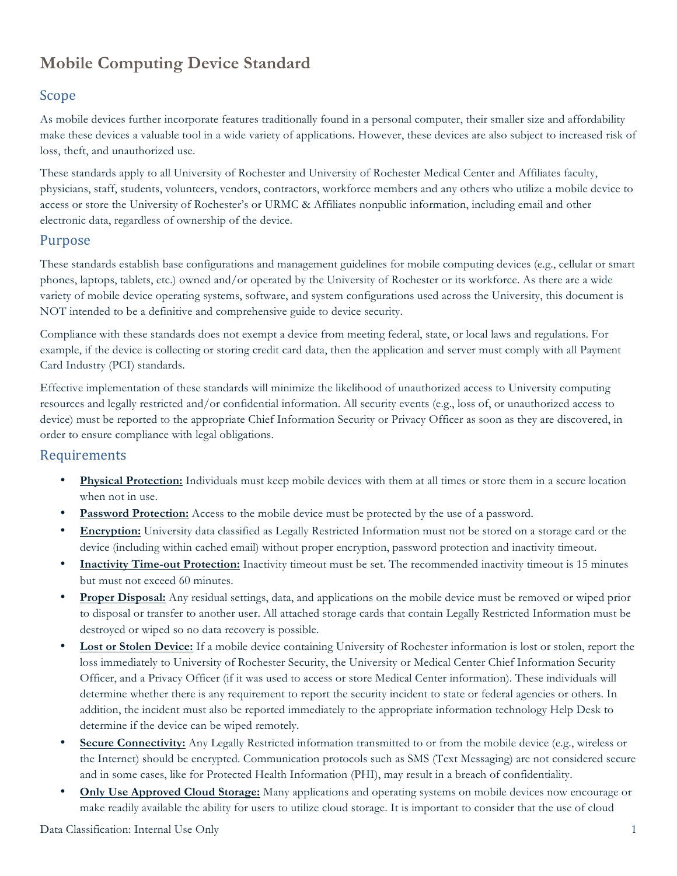# **Mobile Computing Device Standard**

### Scope

As mobile devices further incorporate features traditionally found in a personal computer, their smaller size and affordability make these devices a valuable tool in a wide variety of applications. However, these devices are also subject to increased risk of loss, theft, and unauthorized use.

These standards apply to all University of Rochester and University of Rochester Medical Center and Affiliates faculty, physicians, staff, students, volunteers, vendors, contractors, workforce members and any others who utilize a mobile device to access or store the University of Rochester's or URMC & Affiliates nonpublic information, including email and other electronic data, regardless of ownership of the device.

#### Purpose

These standards establish base configurations and management guidelines for mobile computing devices (e.g., cellular or smart phones, laptops, tablets, etc.) owned and/or operated by the University of Rochester or its workforce. As there are a wide variety of mobile device operating systems, software, and system configurations used across the University, this document is NOT intended to be a definitive and comprehensive guide to device security.

Compliance with these standards does not exempt a device from meeting federal, state, or local laws and regulations. For example, if the device is collecting or storing credit card data, then the application and server must comply with all Payment Card Industry (PCI) standards.

Effective implementation of these standards will minimize the likelihood of unauthorized access to University computing resources and legally restricted and/or confidential information. All security events (e.g., loss of, or unauthorized access to device) must be reported to the appropriate Chief Information Security or Privacy Officer as soon as they are discovered, in order to ensure compliance with legal obligations.

#### **Requirements**

- **Physical Protection:** Individuals must keep mobile devices with them at all times or store them in a secure location when not in use.
- **Password Protection:** Access to the mobile device must be protected by the use of a password.
- **Encryption:** University data classified as Legally Restricted Information must not be stored on a storage card or the device (including within cached email) without proper encryption, password protection and inactivity timeout.
- **Inactivity Time-out Protection:** Inactivity timeout must be set. The recommended inactivity timeout is 15 minutes but must not exceed 60 minutes.
- **Proper Disposal:** Any residual settings, data, and applications on the mobile device must be removed or wiped prior to disposal or transfer to another user. All attached storage cards that contain Legally Restricted Information must be destroyed or wiped so no data recovery is possible.
- **Lost or Stolen Device:** If a mobile device containing University of Rochester information is lost or stolen, report the loss immediately to University of Rochester Security, the University or Medical Center Chief Information Security Officer, and a Privacy Officer (if it was used to access or store Medical Center information). These individuals will determine whether there is any requirement to report the security incident to state or federal agencies or others. In addition, the incident must also be reported immediately to the appropriate information technology Help Desk to determine if the device can be wiped remotely.
- **Secure Connectivity:** Any Legally Restricted information transmitted to or from the mobile device (e.g., wireless or the Internet) should be encrypted. Communication protocols such as SMS (Text Messaging) are not considered secure and in some cases, like for Protected Health Information (PHI), may result in a breach of confidentiality.
- **Only Use Approved Cloud Storage:** Many applications and operating systems on mobile devices now encourage or make readily available the ability for users to utilize cloud storage. It is important to consider that the use of cloud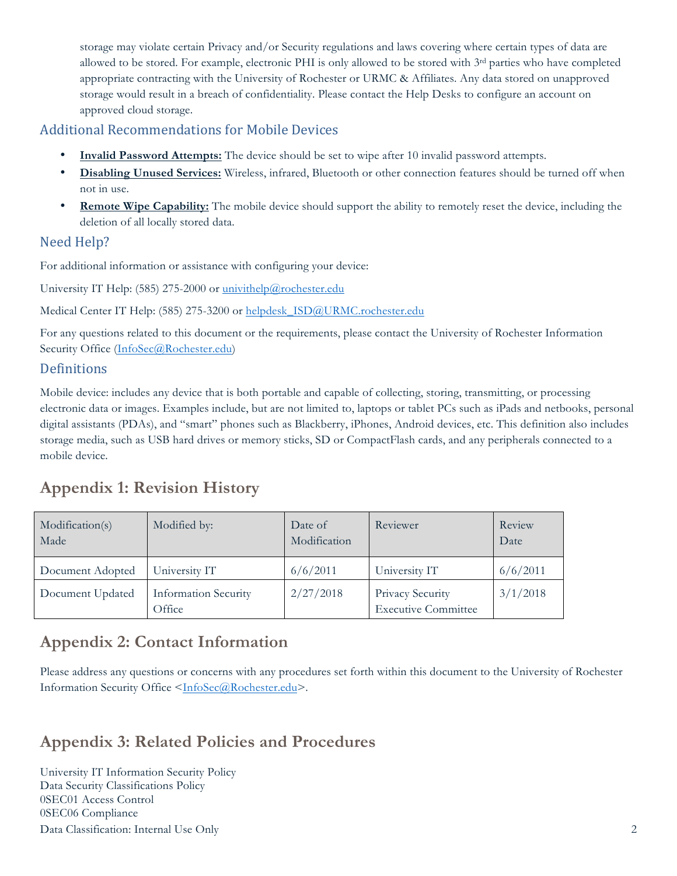storage may violate certain Privacy and/or Security regulations and laws covering where certain types of data are allowed to be stored. For example, electronic PHI is only allowed to be stored with 3rd parties who have completed appropriate contracting with the University of Rochester or URMC & Affiliates. Any data stored on unapproved storage would result in a breach of confidentiality. Please contact the Help Desks to configure an account on approved cloud storage.

#### **Additional Recommendations for Mobile Devices**

- **Invalid Password Attempts:** The device should be set to wipe after 10 invalid password attempts.
- **Disabling Unused Services:** Wireless, infrared, Bluetooth or other connection features should be turned off when not in use.
- **Remote Wipe Capability:** The mobile device should support the ability to remotely reset the device, including the deletion of all locally stored data.

### Need Help?

For additional information or assistance with configuring your device:

University IT Help: (585) 275-2000 or univithelp@rochester.edu

Medical Center IT Help: (585) 275-3200 or helpdesk\_ISD@URMC.rochester.edu

For any questions related to this document or the requirements, please contact the University of Rochester Information Security Office (InfoSec@Rochester.edu)

### **Definitions**

Mobile device: includes any device that is both portable and capable of collecting, storing, transmitting, or processing electronic data or images. Examples include, but are not limited to, laptops or tablet PCs such as iPads and netbooks, personal digital assistants (PDAs), and "smart" phones such as Blackberry, iPhones, Android devices, etc. This definition also includes storage media, such as USB hard drives or memory sticks, SD or CompactFlash cards, and any peripherals connected to a mobile device.

## **Appendix 1: Revision History**

| Modification(s)<br>Made | Modified by:                          | Date of<br>Modification | Reviewer                                       | Review<br>Date |
|-------------------------|---------------------------------------|-------------------------|------------------------------------------------|----------------|
| Document Adopted        | University IT                         | 6/6/2011                | University IT                                  | 6/6/2011       |
| Document Updated        | <b>Information Security</b><br>Office | 2/27/2018               | Privacy Security<br><b>Executive Committee</b> | 3/1/2018       |

## **Appendix 2: Contact Information**

Please address any questions or concerns with any procedures set forth within this document to the University of Rochester Information Security Office <InfoSec@Rochester.edu>.

## **Appendix 3: Related Policies and Procedures**

Data Classification: Internal Use Only 2 University IT Information Security Policy Data Security Classifications Policy 0SEC01 Access Control 0SEC06 Compliance